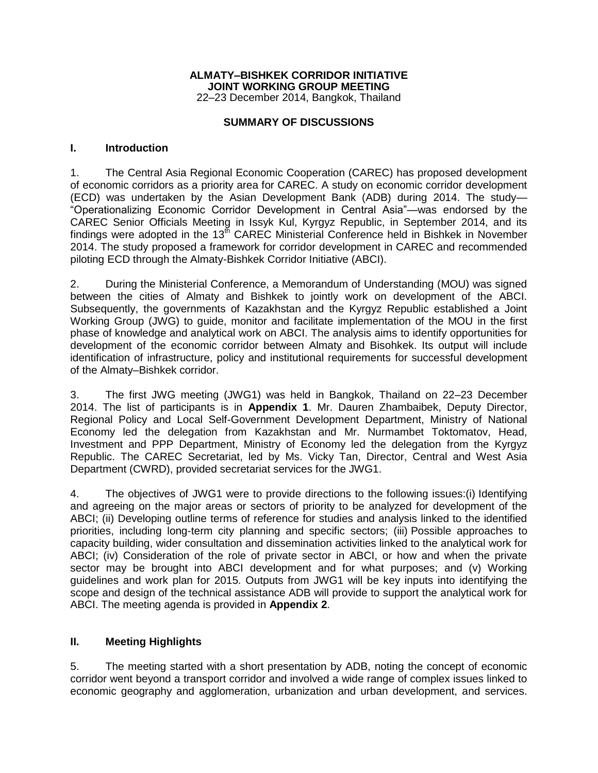## **ALMATY–BISHKEK CORRIDOR INITIATIVE JOINT WORKING GROUP MEETING** 22–23 December 2014, Bangkok, Thailand

## **SUMMARY OF DISCUSSIONS**

## **I. Introduction**

1. The Central Asia Regional Economic Cooperation (CAREC) has proposed development of economic corridors as a priority area for CAREC. A study on economic corridor development (ECD) was undertaken by the Asian Development Bank (ADB) during 2014. The study— "Operationalizing Economic Corridor Development in Central Asia"—was endorsed by the CAREC Senior Officials Meeting in Issyk Kul, Kyrgyz Republic, in September 2014, and its findings were adopted in the  $13<sup>th</sup>$  CAREC Ministerial Conference held in Bishkek in November 2014. The study proposed a framework for corridor development in CAREC and recommended piloting ECD through the Almaty-Bishkek Corridor Initiative (ABCI).

2. During the Ministerial Conference, a Memorandum of Understanding (MOU) was signed between the cities of Almaty and Bishkek to jointly work on development of the ABCI. Subsequently, the governments of Kazakhstan and the Kyrgyz Republic established a Joint Working Group (JWG) to guide, monitor and facilitate implementation of the MOU in the first phase of knowledge and analytical work on ABCI. The analysis aims to identify opportunities for development of the economic corridor between Almaty and Bisohkek. Its output will include identification of infrastructure, policy and institutional requirements for successful development of the Almaty–Bishkek corridor.

3. The first JWG meeting (JWG1) was held in Bangkok, Thailand on 22–23 December 2014. The list of participants is in **Appendix 1**. Mr. Dauren Zhambaibek, Deputy Director, Regional Policy and Local Self-Government Development Department, Ministry of National Economy led the delegation from Kazakhstan and Mr. Nurmambet Toktomatov, Head, Investment and PPP Department, Ministry of Economy led the delegation from the Kyrgyz Republic. The CAREC Secretariat, led by Ms. Vicky Tan, Director, Central and West Asia Department (CWRD), provided secretariat services for the JWG1.

4. The objectives of JWG1 were to provide directions to the following issues:(i) Identifying and agreeing on the major areas or sectors of priority to be analyzed for development of the ABCI; (ii) Developing outline terms of reference for studies and analysis linked to the identified priorities, including long-term city planning and specific sectors; (iii) Possible approaches to capacity building, wider consultation and dissemination activities linked to the analytical work for ABCI; (iv) Consideration of the role of private sector in ABCI, or how and when the private sector may be brought into ABCI development and for what purposes; and (v) Working guidelines and work plan for 2015. Outputs from JWG1 will be key inputs into identifying the scope and design of the technical assistance ADB will provide to support the analytical work for ABCI. The meeting agenda is provided in **Appendix 2**.

## **II. Meeting Highlights**

5. The meeting started with a short presentation by ADB, noting the concept of economic corridor went beyond a transport corridor and involved a wide range of complex issues linked to economic geography and agglomeration, urbanization and urban development, and services.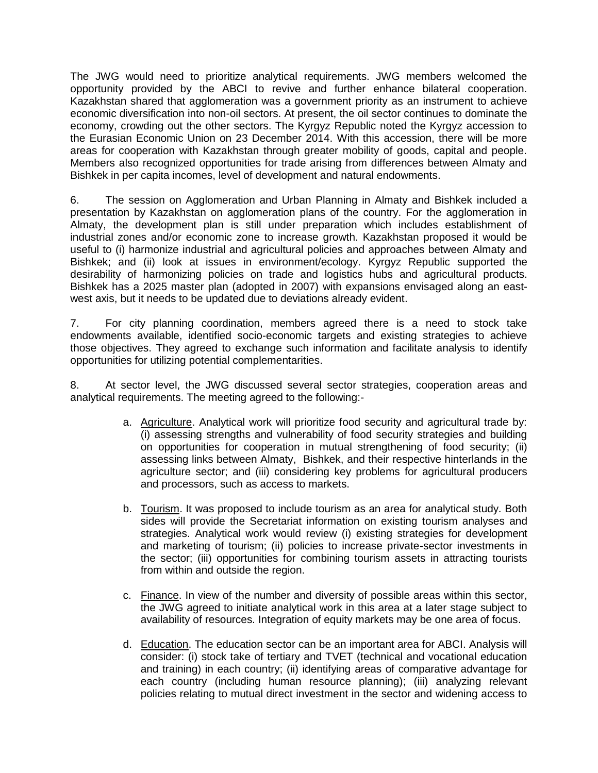The JWG would need to prioritize analytical requirements. JWG members welcomed the opportunity provided by the ABCI to revive and further enhance bilateral cooperation. Kazakhstan shared that agglomeration was a government priority as an instrument to achieve economic diversification into non-oil sectors. At present, the oil sector continues to dominate the economy, crowding out the other sectors. The Kyrgyz Republic noted the Kyrgyz accession to the Eurasian Economic Union on 23 December 2014. With this accession, there will be more areas for cooperation with Kazakhstan through greater mobility of goods, capital and people. Members also recognized opportunities for trade arising from differences between Almaty and Bishkek in per capita incomes, level of development and natural endowments.

6. The session on Agglomeration and Urban Planning in Almaty and Bishkek included a presentation by Kazakhstan on agglomeration plans of the country. For the agglomeration in Almaty, the development plan is still under preparation which includes establishment of industrial zones and/or economic zone to increase growth. Kazakhstan proposed it would be useful to (i) harmonize industrial and agricultural policies and approaches between Almaty and Bishkek; and (ii) look at issues in environment/ecology. Kyrgyz Republic supported the desirability of harmonizing policies on trade and logistics hubs and agricultural products. Bishkek has a 2025 master plan (adopted in 2007) with expansions envisaged along an eastwest axis, but it needs to be updated due to deviations already evident.

7. For city planning coordination, members agreed there is a need to stock take endowments available, identified socio-economic targets and existing strategies to achieve those objectives. They agreed to exchange such information and facilitate analysis to identify opportunities for utilizing potential complementarities.

8. At sector level, the JWG discussed several sector strategies, cooperation areas and analytical requirements. The meeting agreed to the following:-

- a. Agriculture. Analytical work will prioritize food security and agricultural trade by: (i) assessing strengths and vulnerability of food security strategies and building on opportunities for cooperation in mutual strengthening of food security; (ii) assessing links between Almaty, Bishkek, and their respective hinterlands in the agriculture sector; and (iii) considering key problems for agricultural producers and processors, such as access to markets.
- b. Tourism. It was proposed to include tourism as an area for analytical study. Both sides will provide the Secretariat information on existing tourism analyses and strategies. Analytical work would review (i) existing strategies for development and marketing of tourism; (ii) policies to increase private-sector investments in the sector; (iii) opportunities for combining tourism assets in attracting tourists from within and outside the region.
- c. Finance. In view of the number and diversity of possible areas within this sector, the JWG agreed to initiate analytical work in this area at a later stage subject to availability of resources. Integration of equity markets may be one area of focus.
- d. Education. The education sector can be an important area for ABCI. Analysis will consider: (i) stock take of tertiary and TVET (technical and vocational education and training) in each country; (ii) identifying areas of comparative advantage for each country (including human resource planning); (iii) analyzing relevant policies relating to mutual direct investment in the sector and widening access to